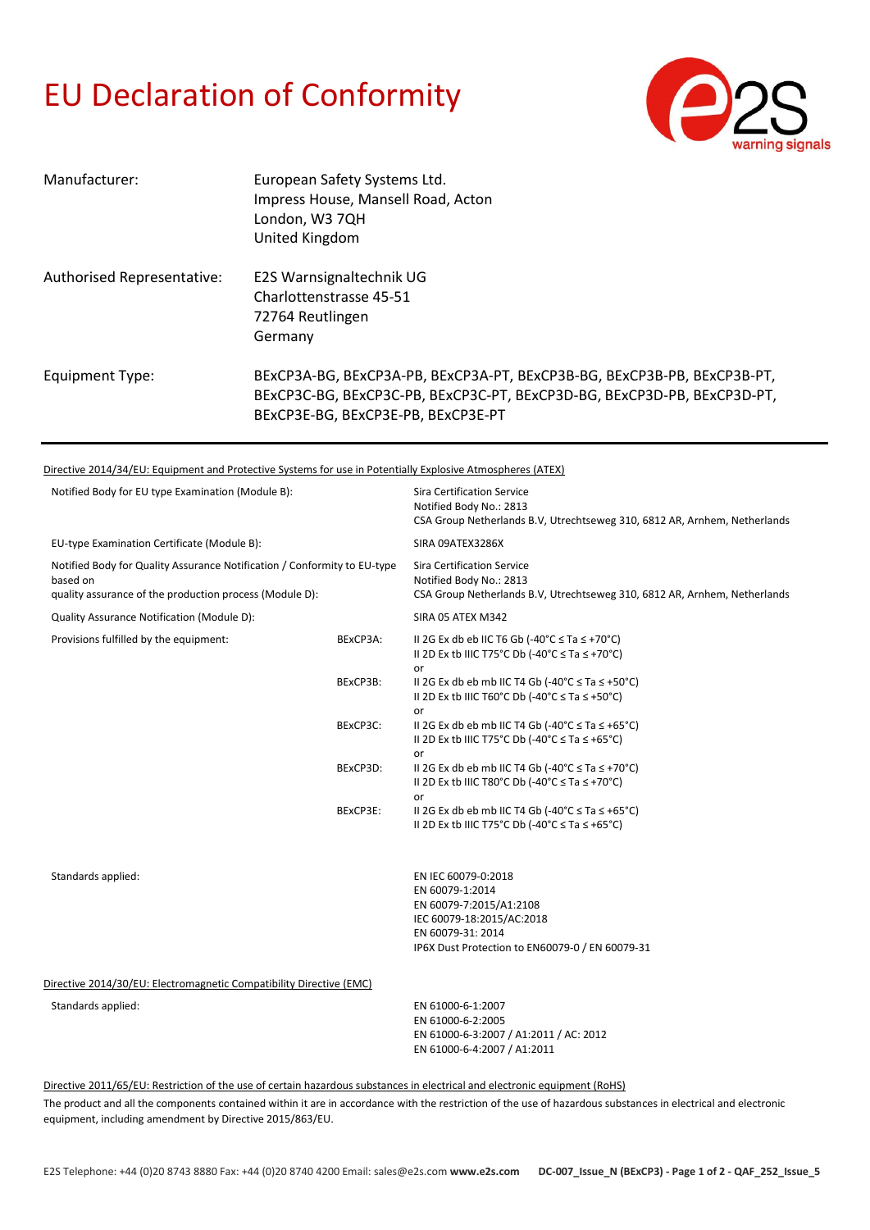## EU Declaration of Conformity



| Manufacturer:              | European Safety Systems Ltd.<br>Impress House, Mansell Road, Acton<br>London, W3 7QH<br>United Kingdom                                                                                   |
|----------------------------|------------------------------------------------------------------------------------------------------------------------------------------------------------------------------------------|
| Authorised Representative: | E2S Warnsignaltechnik UG<br>Charlottenstrasse 45-51<br>72764 Reutlingen<br>Germany                                                                                                       |
| Equipment Type:            | BExCP3A-BG, BExCP3A-PB, BExCP3A-PT, BExCP3B-BG, BExCP3B-PB, BExCP3B-PT,<br>BExCP3C-BG, BExCP3C-PB, BExCP3C-PT, BExCP3D-BG, BExCP3D-PB, BExCP3D-PT,<br>BExCP3E-BG, BExCP3E-PB, BExCP3E-PT |

Directive 2014/34/EU: Equipment and Protective Systems for use in Potentially Explosive Atmospheres (ATEX)

| Notified Body for EU type Examination (Module B):                                                                                               |          | <b>Sira Certification Service</b><br>Notified Body No.: 2813<br>CSA Group Netherlands B.V, Utrechtseweg 310, 6812 AR, Arnhem, Netherlands                              |
|-------------------------------------------------------------------------------------------------------------------------------------------------|----------|------------------------------------------------------------------------------------------------------------------------------------------------------------------------|
| EU-type Examination Certificate (Module B):                                                                                                     |          | SIRA 09ATEX3286X                                                                                                                                                       |
| Notified Body for Quality Assurance Notification / Conformity to EU-type<br>based on<br>quality assurance of the production process (Module D): |          | <b>Sira Certification Service</b><br>Notified Body No.: 2813<br>CSA Group Netherlands B.V. Utrechtseweg 310, 6812 AR, Arnhem, Netherlands                              |
| Quality Assurance Notification (Module D):                                                                                                      |          | SIRA 05 ATEX M342                                                                                                                                                      |
| Provisions fulfilled by the equipment:                                                                                                          | BExCP3A: | II 2G Ex db eb IIC T6 Gb (-40°C $\leq$ Ta $\leq$ +70°C)<br>II 2D Ex tb IIIC T75°C Db (-40°C $\leq$ Ta $\leq$ +70°C)                                                    |
|                                                                                                                                                 | BExCP3B: | or<br>II 2G Ex db eb mb IIC T4 Gb (-40°C $\leq$ Ta $\leq$ +50°C)<br>II 2D Ex tb IIIC T60°C Db (-40°C $\leq$ Ta $\leq$ +50°C)                                           |
|                                                                                                                                                 | BExCP3C: | or<br>II 2G Ex db eb mb IIC T4 Gb (-40°C $\le$ Ta $\le$ +65°C)<br>II 2D Ex tb IIIC T75°C Db (-40°C $\leq$ Ta $\leq$ +65°C)                                             |
|                                                                                                                                                 | BExCP3D: | or<br>II 2G Ex db eb mb IIC T4 Gb (-40 $^{\circ}$ C $\leq$ Ta $\leq$ +70 $^{\circ}$ C)<br>II 2D Ex tb IIIC T80°C Db (-40°C $\le$ Ta $\le$ +70°C)                       |
|                                                                                                                                                 | BExCP3E: | or<br>II 2G Ex db eb mb IIC T4 Gb (-40°C $\leq$ Ta $\leq$ +65°C)<br>II 2D Ex tb IIIC T75°C Db (-40°C $\leq$ Ta $\leq$ +65°C)                                           |
| Standards applied:                                                                                                                              |          | EN IEC 60079-0:2018<br>EN 60079-1:2014<br>EN 60079-7:2015/A1:2108<br>IEC 60079-18:2015/AC:2018<br>EN 60079-31: 2014<br>IP6X Dust Protection to EN60079-0 / EN 60079-31 |
| Directive 2014/30/EU: Electromagnetic Compatibility Directive (EMC)                                                                             |          |                                                                                                                                                                        |
| Standards applied:                                                                                                                              |          | EN 61000-6-1:2007<br>EN 61000-6-2:2005<br>EN 61000-6-3:2007 / A1:2011 / AC: 2012<br>EN 61000-6-4:2007 / A1:2011                                                        |
|                                                                                                                                                 |          |                                                                                                                                                                        |

Directive 2011/65/EU: Restriction of the use of certain hazardous substances in electrical and electronic equipment (RoHS)

The product and all the components contained within it are in accordance with the restriction of the use of hazardous substances in electrical and electronic equipment, including amendment by Directive 2015/863/EU.